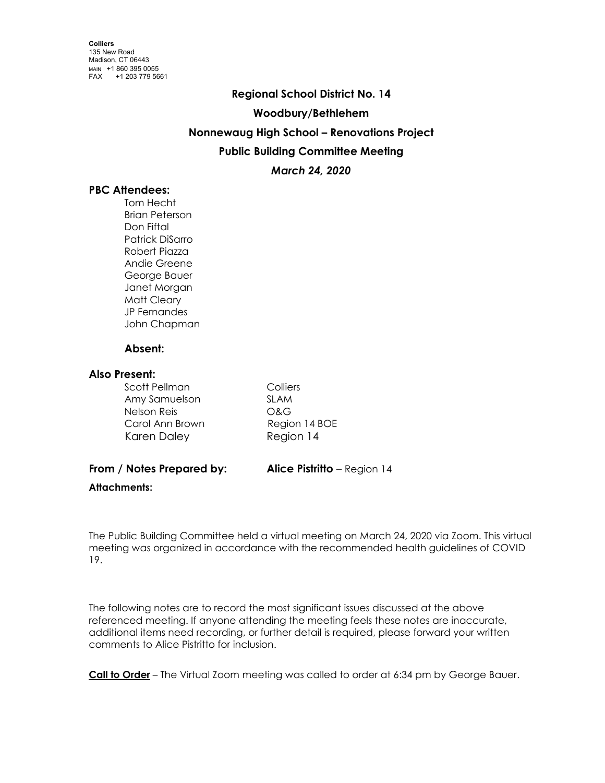# **Regional School District No. 14**

#### **Woodbury/Bethlehem**

## **Nonnewaug High School – Renovations Project**

# **Public Building Committee Meeting**

## *March 24, 2020*

## **PBC Attendees:**

Tom Hecht Brian Peterson Don Fiftal Patrick DiSarro Robert Piazza Andie Greene George Bauer Janet Morgan Matt Cleary JP Fernandes John Chapman

#### **Absent:**

#### **Also Present:**

| Scott Pellman   |  |
|-----------------|--|
| Amy Samuelson   |  |
| Nelson Reis     |  |
| Carol Ann Brown |  |
| Karen Daley     |  |

Colliers SLAM O&G Region 14 BOE Region 14

# **From / Notes Prepared by: Alice Pistritto** – Region 14

#### **Attachments:**

The Public Building Committee held a virtual meeting on March 24, 2020 via Zoom. This virtual meeting was organized in accordance with the recommended health guidelines of COVID 19.

The following notes are to record the most significant issues discussed at the above referenced meeting. If anyone attending the meeting feels these notes are inaccurate, additional items need recording, or further detail is required, please forward your written comments to Alice Pistritto for inclusion.

**Call to Order** – The Virtual Zoom meeting was called to order at 6:34 pm by George Bauer.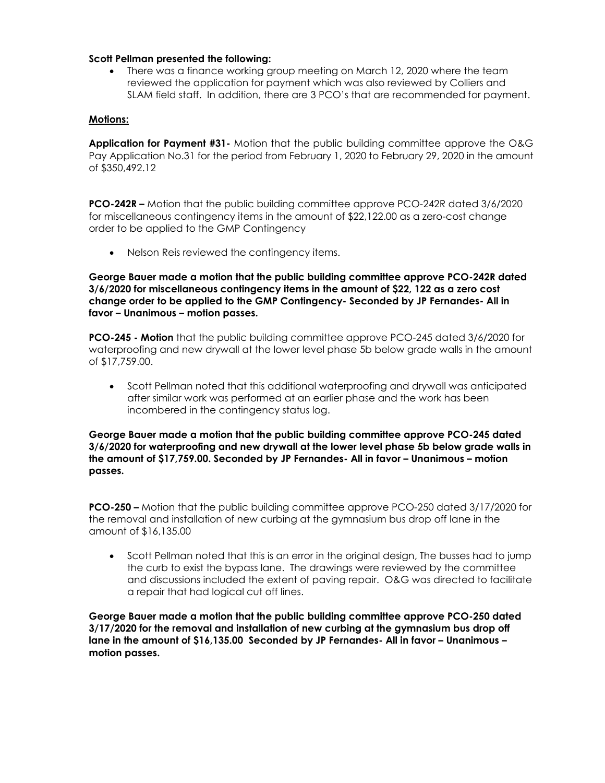#### **Scott Pellman presented the following:**

There was a finance working group meeting on March 12, 2020 where the team reviewed the application for payment which was also reviewed by Colliers and SLAM field staff. In addition, there are 3 PCO's that are recommended for payment.

#### **Motions:**

**Application for Payment #31-** Motion that the public building committee approve the O&G Pay Application No.31 for the period from February 1, 2020 to February 29, 2020 in the amount of \$350,492.12

**PCO-242R –** Motion that the public building committee approve PCO-242R dated 3/6/2020 for miscellaneous contingency items in the amount of \$22,122.00 as a zero-cost change order to be applied to the GMP Contingency

• Nelson Reis reviewed the contingency items.

**George Bauer made a motion that the public building committee approve PCO-242R dated 3/6/2020 for miscellaneous contingency items in the amount of \$22, 122 as a zero cost change order to be applied to the GMP Contingency- Seconded by JP Fernandes- All in favor – Unanimous – motion passes.**

**PCO-245 - Motion** that the public building committee approve PCO-245 dated 3/6/2020 for waterproofing and new drywall at the lower level phase 5b below grade walls in the amount of \$17,759.00.

• Scott Pellman noted that this additional waterproofing and drywall was anticipated after similar work was performed at an earlier phase and the work has been incombered in the contingency status log.

**George Bauer made a motion that the public building committee approve PCO-245 dated 3/6/2020 for waterproofing and new drywall at the lower level phase 5b below grade walls in the amount of \$17,759.00. Seconded by JP Fernandes- All in favor – Unanimous – motion passes.**

**PCO-250 –** Motion that the public building committee approve PCO-250 dated 3/17/2020 for the removal and installation of new curbing at the gymnasium bus drop off lane in the amount of \$16,135.00

• Scott Pellman noted that this is an error in the original design, The busses had to jump the curb to exist the bypass lane. The drawings were reviewed by the committee and discussions included the extent of paving repair. O&G was directed to facilitate a repair that had logical cut off lines.

**George Bauer made a motion that the public building committee approve PCO-250 dated 3/17/2020 for the removal and installation of new curbing at the gymnasium bus drop off lane in the amount of \$16,135.00 Seconded by JP Fernandes- All in favor – Unanimous – motion passes.**